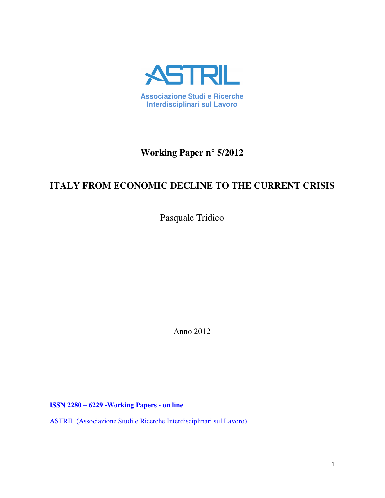

# **Working Paper n° 5/2012**

# **ITALY FROM ECONOMIC DECLINE TO THE CURRENT CRISIS**

Pasquale Tridico

Anno 2012

**ISSN 2280 – 6229 -Working Papers - on line** 

ASTRIL (Associazione Studi e Ricerche Interdisciplinari sul Lavoro)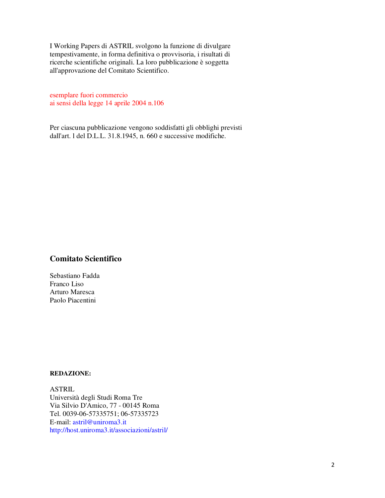I Working Papers di ASTRIL svolgono la funzione di divulgare tempestivamente, in forma definitiva o provvisoria, i risultati di ricerche scientifiche originali. La loro pubblicazione è soggetta all'approvazione del Comitato Scientifico.

esemplare fuori commercio ai sensi della legge 14 aprile 2004 n.106

Per ciascuna pubblicazione vengono soddisfatti gli obblighi previsti dall'art. l del D.L.L. 31.8.1945, n. 660 e successive modifiche.

## **Comitato Scientifico**

Sebastiano Fadda Franco Liso Arturo Maresca Paolo Piacentini

## **REDAZIONE:**

ASTRIL Università degli Studi Roma Tre Via Silvio D'Amico, 77 - 00145 Roma Tel. 0039-06-57335751; 06-57335723 E-mail: astril@uniroma3.it http://host.uniroma3.it/associazioni/astril/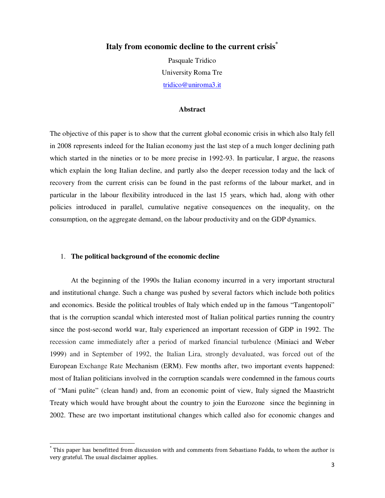# **Italy from economic decline to the current crisis\***

Pasquale Tridico University Roma Tre tridico@uniroma3.it

#### **Abstract**

The objective of this paper is to show that the current global economic crisis in which also Italy fell in 2008 represents indeed for the Italian economy just the last step of a much longer declining path which started in the nineties or to be more precise in 1992-93. In particular, I argue, the reasons which explain the long Italian decline, and partly also the deeper recession today and the lack of recovery from the current crisis can be found in the past reforms of the labour market, and in particular in the labour flexibility introduced in the last 15 years, which had, along with other policies introduced in parallel, cumulative negative consequences on the inequality, on the consumption, on the aggregate demand, on the labour productivity and on the GDP dynamics.

## 1. **The political background of the economic decline**

 $\overline{a}$ 

At the beginning of the 1990s the Italian economy incurred in a very important structural and institutional change. Such a change was pushed by several factors which include both politics and economics. Beside the political troubles of Italy which ended up in the famous "Tangentopoli" that is the corruption scandal which interested most of Italian political parties running the country since the post-second world war, Italy experienced an important recession of GDP in 1992. The recession came immediately after a period of marked financial turbulence (Miniaci and Weber 1999) and in September of 1992, the Italian Lira, strongly devaluated, was forced out of the European Exchange Rate Mechanism (ERM). Few months after, two important events happened: most of Italian politicians involved in the corruption scandals were condemned in the famous courts of "Mani pulite" (clean hand) and, from an economic point of view, Italy signed the Maastricht Treaty which would have brought about the country to join the Eurozone since the beginning in 2002. These are two important institutional changes which called also for economic changes and

<sup>\*</sup> This paper has benefitted from discussion with and comments from Sebastiano Fadda, to whom the author is very grateful. The usual disclaimer applies.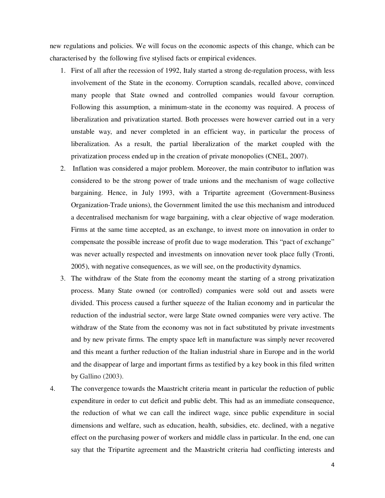new regulations and policies. We will focus on the economic aspects of this change, which can be characterised by the following five stylised facts or empirical evidences.

- 1. First of all after the recession of 1992, Italy started a strong de-regulation process, with less involvement of the State in the economy. Corruption scandals, recalled above, convinced many people that State owned and controlled companies would favour corruption. Following this assumption, a minimum-state in the economy was required. A process of liberalization and privatization started. Both processes were however carried out in a very unstable way, and never completed in an efficient way, in particular the process of liberalization. As a result, the partial liberalization of the market coupled with the privatization process ended up in the creation of private monopolies (CNEL, 2007).
- 2. Inflation was considered a major problem. Moreover, the main contributor to inflation was considered to be the strong power of trade unions and the mechanism of wage collective bargaining. Hence, in July 1993, with a Tripartite agreement (Government-Business Organization-Trade unions), the Government limited the use this mechanism and introduced a decentralised mechanism for wage bargaining, with a clear objective of wage moderation. Firms at the same time accepted, as an exchange, to invest more on innovation in order to compensate the possible increase of profit due to wage moderation. This "pact of exchange" was never actually respected and investments on innovation never took place fully (Tronti, 2005), with negative consequences, as we will see, on the productivity dynamics.
- 3. The withdraw of the State from the economy meant the starting of a strong privatization process. Many State owned (or controlled) companies were sold out and assets were divided. This process caused a further squeeze of the Italian economy and in particular the reduction of the industrial sector, were large State owned companies were very active. The withdraw of the State from the economy was not in fact substituted by private investments and by new private firms. The empty space left in manufacture was simply never recovered and this meant a further reduction of the Italian industrial share in Europe and in the world and the disappear of large and important firms as testified by a key book in this filed written by Gallino (2003).
- 4. The convergence towards the Maastricht criteria meant in particular the reduction of public expenditure in order to cut deficit and public debt. This had as an immediate consequence, the reduction of what we can call the indirect wage, since public expenditure in social dimensions and welfare, such as education, health, subsidies, etc. declined, with a negative effect on the purchasing power of workers and middle class in particular. In the end, one can say that the Tripartite agreement and the Maastricht criteria had conflicting interests and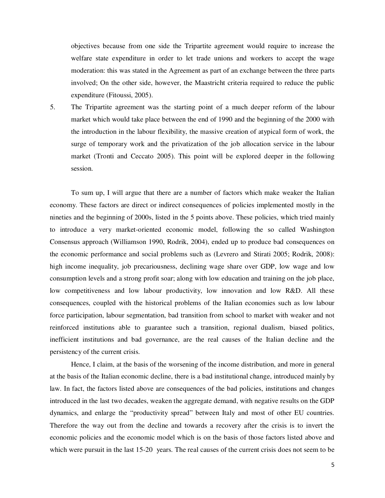objectives because from one side the Tripartite agreement would require to increase the welfare state expenditure in order to let trade unions and workers to accept the wage moderation: this was stated in the Agreement as part of an exchange between the three parts involved; On the other side, however, the Maastricht criteria required to reduce the public expenditure (Fitoussi, 2005).

5. The Tripartite agreement was the starting point of a much deeper reform of the labour market which would take place between the end of 1990 and the beginning of the 2000 with the introduction in the labour flexibility, the massive creation of atypical form of work, the surge of temporary work and the privatization of the job allocation service in the labour market (Tronti and Ceccato 2005). This point will be explored deeper in the following session.

To sum up, I will argue that there are a number of factors which make weaker the Italian economy. These factors are direct or indirect consequences of policies implemented mostly in the nineties and the beginning of 2000s, listed in the 5 points above. These policies, which tried mainly to introduce a very market-oriented economic model, following the so called Washington Consensus approach (Williamson 1990, Rodrik, 2004), ended up to produce bad consequences on the economic performance and social problems such as (Levrero and Stirati 2005; Rodrik, 2008): high income inequality, job precariousness, declining wage share over GDP, low wage and low consumption levels and a strong profit soar; along with low education and training on the job place, low competitiveness and low labour productivity, low innovation and low R&D. All these consequences, coupled with the historical problems of the Italian economies such as low labour force participation, labour segmentation, bad transition from school to market with weaker and not reinforced institutions able to guarantee such a transition, regional dualism, biased politics, inefficient institutions and bad governance, are the real causes of the Italian decline and the persistency of the current crisis.

Hence, I claim, at the basis of the worsening of the income distribution, and more in general at the basis of the Italian economic decline, there is a bad institutional change, introduced mainly by law. In fact, the factors listed above are consequences of the bad policies, institutions and changes introduced in the last two decades, weaken the aggregate demand, with negative results on the GDP dynamics, and enlarge the "productivity spread" between Italy and most of other EU countries. Therefore the way out from the decline and towards a recovery after the crisis is to invert the economic policies and the economic model which is on the basis of those factors listed above and which were pursuit in the last 15-20 years. The real causes of the current crisis does not seem to be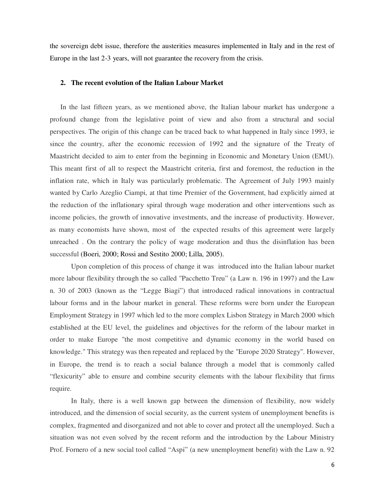the sovereign debt issue, therefore the austerities measures implemented in Italy and in the rest of Europe in the last 2-3 years, will not guarantee the recovery from the crisis.

#### **2. The recent evolution of the Italian Labour Market**

In the last fifteen years, as we mentioned above, the Italian labour market has undergone a profound change from the legislative point of view and also from a structural and social perspectives. The origin of this change can be traced back to what happened in Italy since 1993, ie since the country, after the economic recession of 1992 and the signature of the Treaty of Maastricht decided to aim to enter from the beginning in Economic and Monetary Union (EMU). This meant first of all to respect the Maastricht criteria, first and foremost, the reduction in the inflation rate, which in Italy was particularly problematic. The Agreement of July 1993 mainly wanted by Carlo Azeglio Ciampi, at that time Premier of the Government, had explicitly aimed at the reduction of the inflationary spiral through wage moderation and other interventions such as income policies, the growth of innovative investments, and the increase of productivity. However, as many economists have shown, most of the expected results of this agreement were largely unreached . On the contrary the policy of wage moderation and thus the disinflation has been successful (Boeri, 2000; Rossi and Sestito 2000; Lilla, 2005).

Upon completion of this process of change it was introduced into the Italian labour market more labour flexibility through the so called "Pacchetto Treu" (a Law n. 196 in 1997) and the Law n. 30 of 2003 (known as the "Legge Biagi") that introduced radical innovations in contractual labour forms and in the labour market in general. These reforms were born under the European Employment Strategy in 1997 which led to the more complex Lisbon Strategy in March 2000 which established at the EU level, the guidelines and objectives for the reform of the labour market in order to make Europe "the most competitive and dynamic economy in the world based on knowledge." This strategy was then repeated and replaced by the "Europe 2020 Strategy". However, in Europe, the trend is to reach a social balance through a model that is commonly called "flexicurity" able to ensure and combine security elements with the labour flexibility that firms require.

In Italy, there is a well known gap between the dimension of flexibility, now widely introduced, and the dimension of social security, as the current system of unemployment benefits is complex, fragmented and disorganized and not able to cover and protect all the unemployed. Such a situation was not even solved by the recent reform and the introduction by the Labour Ministry Prof. Fornero of a new social tool called "Aspi" (a new unemployment benefit) with the Law n. 92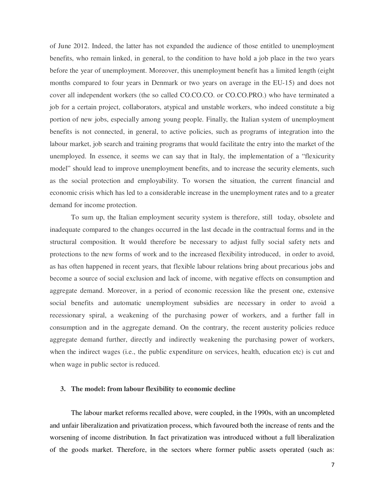of June 2012. Indeed, the latter has not expanded the audience of those entitled to unemployment benefits, who remain linked, in general, to the condition to have hold a job place in the two years before the year of unemployment. Moreover, this unemployment benefit has a limited length (eight months compared to four years in Denmark or two years on average in the EU-15) and does not cover all independent workers (the so called CO.CO.CO. or CO.CO.PRO.) who have terminated a job for a certain project, collaborators, atypical and unstable workers, who indeed constitute a big portion of new jobs, especially among young people. Finally, the Italian system of unemployment benefits is not connected, in general, to active policies, such as programs of integration into the labour market, job search and training programs that would facilitate the entry into the market of the unemployed. In essence, it seems we can say that in Italy, the implementation of a "flexicurity model" should lead to improve unemployment benefits, and to increase the security elements, such as the social protection and employability. To worsen the situation, the current financial and economic crisis which has led to a considerable increase in the unemployment rates and to a greater demand for income protection.

To sum up, the Italian employment security system is therefore, still today, obsolete and inadequate compared to the changes occurred in the last decade in the contractual forms and in the structural composition. It would therefore be necessary to adjust fully social safety nets and protections to the new forms of work and to the increased flexibility introduced, in order to avoid, as has often happened in recent years, that flexible labour relations bring about precarious jobs and become a source of social exclusion and lack of income, with negative effects on consumption and aggregate demand. Moreover, in a period of economic recession like the present one, extensive social benefits and automatic unemployment subsidies are necessary in order to avoid a recessionary spiral, a weakening of the purchasing power of workers, and a further fall in consumption and in the aggregate demand. On the contrary, the recent austerity policies reduce aggregate demand further, directly and indirectly weakening the purchasing power of workers, when the indirect wages (i.e., the public expenditure on services, health, education etc) is cut and when wage in public sector is reduced.

#### **3. The model: from labour flexibility to economic decline**

The labour market reforms recalled above, were coupled, in the 1990s, with an uncompleted and unfair liberalization and privatization process, which favoured both the increase of rents and the worsening of income distribution. In fact privatization was introduced without a full liberalization of the goods market. Therefore, in the sectors where former public assets operated (such as: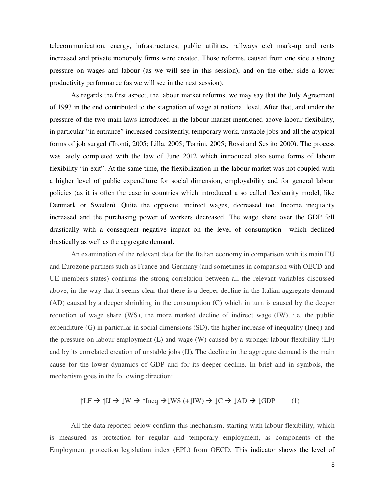telecommunication, energy, infrastructures, public utilities, railways etc) mark-up and rents increased and private monopoly firms were created. Those reforms, caused from one side a strong pressure on wages and labour (as we will see in this session), and on the other side a lower productivity performance (as we will see in the next session).

As regards the first aspect, the labour market reforms, we may say that the July Agreement of 1993 in the end contributed to the stagnation of wage at national level. After that, and under the pressure of the two main laws introduced in the labour market mentioned above labour flexibility, in particular "in entrance" increased consistently, temporary work, unstable jobs and all the atypical forms of job surged (Tronti, 2005; Lilla, 2005; Torrini, 2005; Rossi and Sestito 2000). The process was lately completed with the law of June 2012 which introduced also some forms of labour flexibility "in exit". At the same time, the flexibilization in the labour market was not coupled with a higher level of public expenditure for social dimension, employability and for general labour policies (as it is often the case in countries which introduced a so called flexicurity model, like Denmark or Sweden). Quite the opposite, indirect wages, decreased too. Income inequality increased and the purchasing power of workers decreased. The wage share over the GDP fell drastically with a consequent negative impact on the level of consumption which declined drastically as well as the aggregate demand.

An examination of the relevant data for the Italian economy in comparison with its main EU and Eurozone partners such as France and Germany (and sometimes in comparison with OECD and UE members states) confirms the strong correlation between all the relevant variables discussed above, in the way that it seems clear that there is a deeper decline in the Italian aggregate demand (AD) caused by a deeper shrinking in the consumption (C) which in turn is caused by the deeper reduction of wage share (WS), the more marked decline of indirect wage (IW), i.e. the public expenditure (G) in particular in social dimensions (SD), the higher increase of inequality (Ineq) and the pressure on labour employment (L) and wage (W) caused by a stronger labour flexibility (LF) and by its correlated creation of unstable jobs (IJ). The decline in the aggregate demand is the main cause for the lower dynamics of GDP and for its deeper decline. In brief and in symbols, the mechanism goes in the following direction:

$$
\uparrow \perp F \Rightarrow \uparrow \perp J \Rightarrow \downarrow W \Rightarrow \uparrow \text{Ineq} \Rightarrow \downarrow W S \; (+ \downarrow \text{IW}) \Rightarrow \downarrow C \Rightarrow \downarrow AD \Rightarrow \downarrow GDP \tag{1}
$$

All the data reported below confirm this mechanism, starting with labour flexibility, which is measured as protection for regular and temporary employment, as components of the Employment protection legislation index (EPL) from OECD. This indicator shows the level of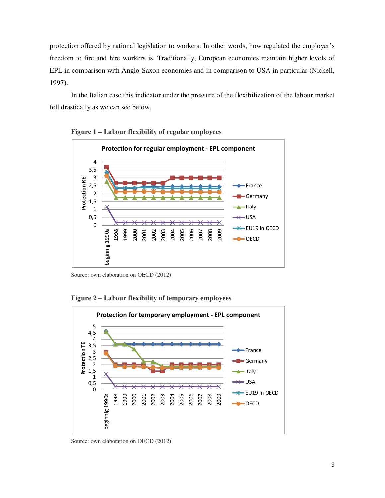protection offered by national legislation to workers. In other words, how regulated the employer's freedom to fire and hire workers is. Traditionally, European economies maintain higher levels of EPL in comparison with Anglo-Saxon economies and in comparison to USA in particular (Nickell, 1997).

In the Italian case this indicator under the pressure of the flexibilization of the labour market fell drastically as we can see below.



**Figure 1 – Labour flexibility of regular employees** 

Source: own elaboration on OECD (2012)

## **Figure 2 – Labour flexibility of temporary employees**



Source: own elaboration on OECD (2012)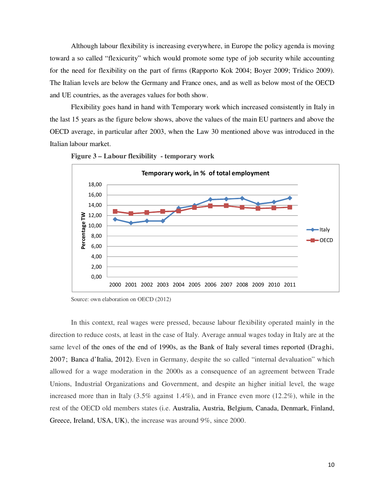Although labour flexibility is increasing everywhere, in Europe the policy agenda is moving toward a so called "flexicurity" which would promote some type of job security while accounting for the need for flexibility on the part of firms (Rapporto Kok 2004; Boyer 2009; Tridico 2009). The Italian levels are below the Germany and France ones, and as well as below most of the OECD and UE countries, as the averages values for both show.

Flexibility goes hand in hand with Temporary work which increased consistently in Italy in the last 15 years as the figure below shows, above the values of the main EU partners and above the OECD average, in particular after 2003, when the Law 30 mentioned above was introduced in the Italian labour market.





Source: own elaboration on OECD (2012)

In this context, real wages were pressed, because labour flexibility operated mainly in the direction to reduce costs, at least in the case of Italy. Average annual wages today in Italy are at the same level of the ones of the end of 1990s, as the Bank of Italy several times reported (Draghi, 2007; Banca d'Italia, 2012). Even in Germany, despite the so called "internal devaluation" which allowed for a wage moderation in the 2000s as a consequence of an agreement between Trade Unions, Industrial Organizations and Government, and despite an higher initial level, the wage increased more than in Italy  $(3.5\%$  against  $1.4\%)$ , and in France even more  $(12.2\%)$ , while in the rest of the OECD old members states (i.e. Australia, Austria, Belgium, Canada, Denmark, Finland, Greece, Ireland, USA, UK), the increase was around 9%, since 2000.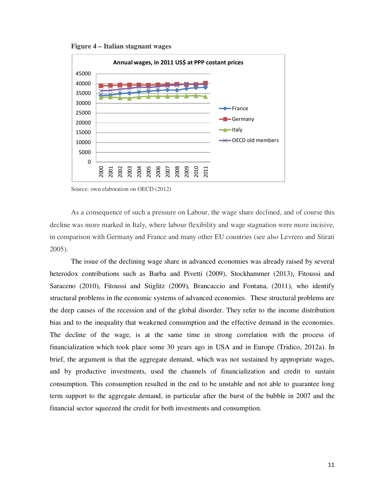**Figure 4 – Italian stagnant wages** 



Source: own elaboration on OECD (2012)

As a consequence of such a pressure on Labour, the wage share declined, and of course this decline was more marked in Italy, where labour flexibility and wage stagnation were more incisive, in comparison with Germany and France and many other EU countries (see also Levrero and Stirati 2005).

The issue of the declining wage share in advanced economies was already raised by several heterodox contributions such as Barba and Pivetti (2009), Stockhammer (2013), Fitoussi and Saraceno (2010), Fitoussi and Stiglitz (2009), Brancaccio and Fontana, (2011), who identify structural problems in the economic systems of advanced economies. These structural problems are the deep causes of the recession and of the global disorder. They refer to the income distribution bias and to the inequality that weakened consumption and the effective demand in the economies. The decline of the wage, is at the same time in strong correlation with the process of financialization which took place some 30 years ago in USA and in Europe (Tridico, 2012a). In brief, the argument is that the aggregate demand, which was not sustained by appropriate wages, and by productive investments, used the channels of financialization and credit to sustain consumption. This consumption resulted in the end to be unstable and not able to guarantee long term support to the aggregate demand, in particular after the burst of the bubble in 2007 and the financial sector squeezed the credit for both investments and consumption.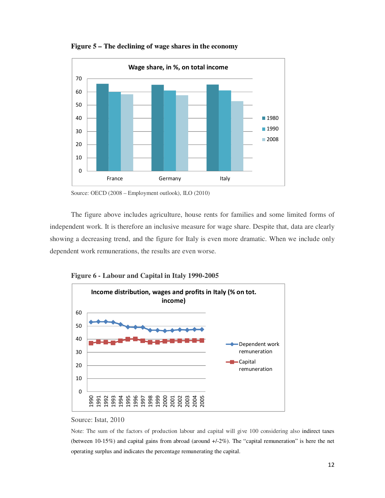

**Figure 5 – The declining of wage shares in the economy** 

Source: OECD (2008 – Employment outlook), ILO (2010)

The figure above includes agriculture, house rents for families and some limited forms of independent work. It is therefore an inclusive measure for wage share. Despite that, data are clearly showing a decreasing trend, and the figure for Italy is even more dramatic. When we include only dependent work remunerations, the results are even worse.



**Figure 6 - Labour and Capital in Italy 1990-2005** 

Note: The sum of the factors of production labour and capital will give 100 considering also indirect taxes (between 10-15%) and capital gains from abroad (around +/-2%). The "capital remuneration" is here the net operating surplus and indicates the percentage remunerating the capital.

Source: Istat, 2010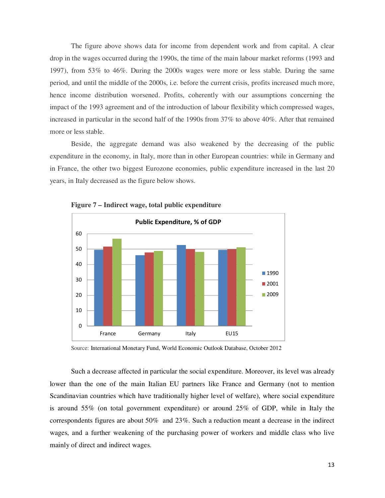The figure above shows data for income from dependent work and from capital. A clear drop in the wages occurred during the 1990s, the time of the main labour market reforms (1993 and 1997), from 53% to 46%. During the 2000s wages were more or less stable. During the same period, and until the middle of the 2000s, i.e. before the current crisis, profits increased much more, hence income distribution worsened. Profits, coherently with our assumptions concerning the impact of the 1993 agreement and of the introduction of labour flexibility which compressed wages, increased in particular in the second half of the 1990s from 37% to above 40%. After that remained more or less stable.

Beside, the aggregate demand was also weakened by the decreasing of the public expenditure in the economy, in Italy, more than in other European countries: while in Germany and in France, the other two biggest Eurozone economies, public expenditure increased in the last 20 years, in Italy decreased as the figure below shows.



**Figure 7 – Indirect wage, total public expenditure** 

Source: International Monetary Fund, World Economic Outlook Database, October 2012

Such a decrease affected in particular the social expenditure. Moreover, its level was already lower than the one of the main Italian EU partners like France and Germany (not to mention Scandinavian countries which have traditionally higher level of welfare), where social expenditure is around 55% (on total government expenditure) or around 25% of GDP, while in Italy the correspondents figures are about 50% and 23%. Such a reduction meant a decrease in the indirect wages, and a further weakening of the purchasing power of workers and middle class who live mainly of direct and indirect wages.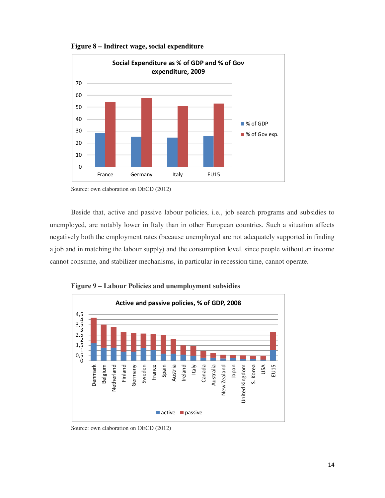



Source: own elaboration on OECD (2012)

Beside that, active and passive labour policies, i.e., job search programs and subsidies to unemployed, are notably lower in Italy than in other European countries. Such a situation affects negatively both the employment rates (because unemployed are not adequately supported in finding a job and in matching the labour supply) and the consumption level, since people without an income cannot consume, and stabilizer mechanisms, in particular in recession time, cannot operate.



**Figure 9 – Labour Policies and unemployment subsidies** 

Source: own elaboration on OECD (2012)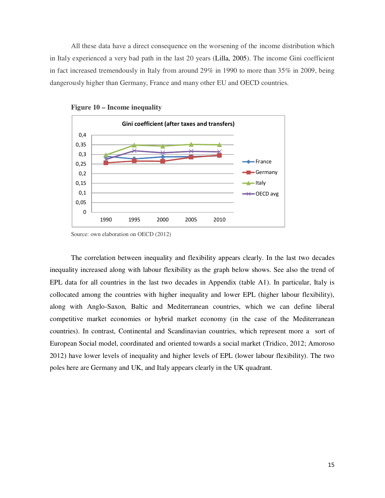All these data have a direct consequence on the worsening of the income distribution which in Italy experienced a very bad path in the last 20 years (Lilla, 2005). The income Gini coefficient in fact increased tremendously in Italy from around 29% in 1990 to more than 35% in 2009, being dangerously higher than Germany, France and many other EU and OECD countries.





The correlation between inequality and flexibility appears clearly. In the last two decades inequality increased along with labour flexibility as the graph below shows. See also the trend of EPL data for all countries in the last two decades in Appendix (table A1). In particular, Italy is collocated among the countries with higher inequality and lower EPL (higher labour flexibility), along with Anglo-Saxon, Baltic and Mediterranean countries, which we can define liberal competitive market economies or hybrid market economy (in the case of the Mediterranean countries). In contrast, Continental and Scandinavian countries, which represent more a sort of European Social model, coordinated and oriented towards a social market (Tridico, 2012; Amoroso 2012) have lower levels of inequality and higher levels of EPL (lower labour flexibility). The two poles here are Germany and UK, and Italy appears clearly in the UK quadrant.

Source: own elaboration on OECD (2012)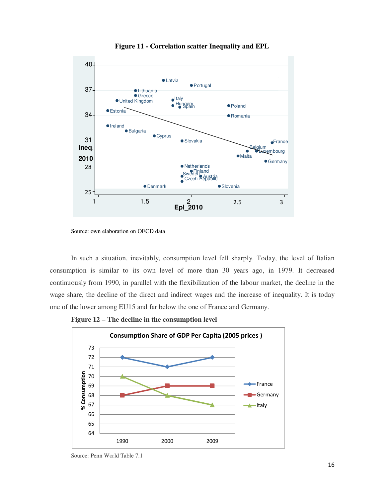

**Figure 11 - Correlation scatter Inequality and EPL** 

Source: own elaboration on OECD data

In such a situation, inevitably, consumption level fell sharply. Today, the level of Italian consumption is similar to its own level of more than 30 years ago, in 1979. It decreased continuously from 1990, in parallel with the flexibilization of the labour market, the decline in the wage share, the decline of the direct and indirect wages and the increase of inequality. It is today one of the lower among EU15 and far below the one of France and Germany.





Source: Penn World Table 7.1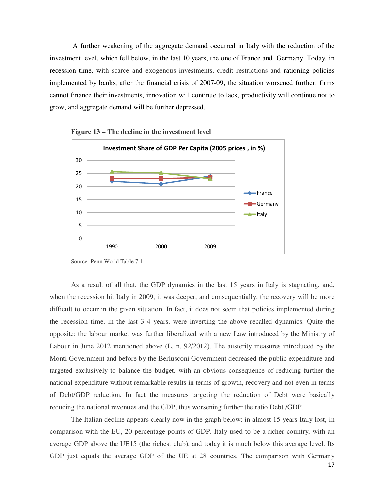A further weakening of the aggregate demand occurred in Italy with the reduction of the investment level, which fell below, in the last 10 years, the one of France and Germany. Today, in recession time, with scarce and exogenous investments, credit restrictions and rationing policies implemented by banks, after the financial crisis of 2007-09, the situation worsened further: firms cannot finance their investments, innovation will continue to lack, productivity will continue not to grow, and aggregate demand will be further depressed.





As a result of all that, the GDP dynamics in the last 15 years in Italy is stagnating, and, when the recession hit Italy in 2009, it was deeper, and consequentially, the recovery will be more difficult to occur in the given situation. In fact, it does not seem that policies implemented during the recession time, in the last 3-4 years, were inverting the above recalled dynamics. Quite the opposite: the labour market was further liberalized with a new Law introduced by the Ministry of Labour in June 2012 mentioned above (L. n. 92/2012). The austerity measures introduced by the Monti Government and before by the Berlusconi Government decreased the public expenditure and targeted exclusively to balance the budget, with an obvious consequence of reducing further the national expenditure without remarkable results in terms of growth, recovery and not even in terms of Debt/GDP reduction. In fact the measures targeting the reduction of Debt were basically reducing the national revenues and the GDP, thus worsening further the ratio Debt /GDP.

The Italian decline appears clearly now in the graph below: in almost 15 years Italy lost, in comparison with the EU, 20 percentage points of GDP. Italy used to be a richer country, with an average GDP above the UE15 (the richest club), and today it is much below this average level. Its GDP just equals the average GDP of the UE at 28 countries. The comparison with Germany

Source: Penn World Table 7.1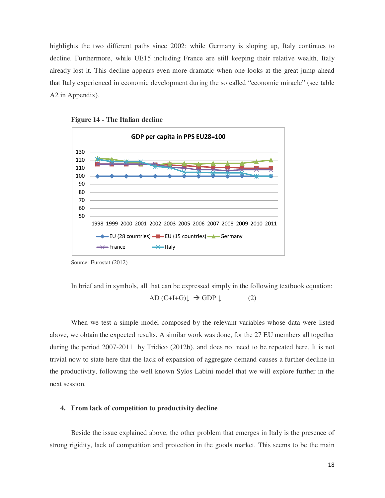highlights the two different paths since 2002: while Germany is sloping up, Italy continues to decline. Furthermore, while UE15 including France are still keeping their relative wealth, Italy already lost it. This decline appears even more dramatic when one looks at the great jump ahead that Italy experienced in economic development during the so called "economic miracle" (see table A2 in Appendix).



**Figure 14 - The Italian decline** 

Source: Eurostat (2012)

In brief and in symbols, all that can be expressed simply in the following textbook equation:  $AD (C+I+G) \downarrow \rightarrow GDP \downarrow$  (2)

When we test a simple model composed by the relevant variables whose data were listed above, we obtain the expected results. A similar work was done, for the 27 EU members all together during the period 2007-2011 by Tridico (2012b), and does not need to be repeated here. It is not trivial now to state here that the lack of expansion of aggregate demand causes a further decline in the productivity, following the well known Sylos Labini model that we will explore further in the next session.

### **4. From lack of competition to productivity decline**

Beside the issue explained above, the other problem that emerges in Italy is the presence of strong rigidity, lack of competition and protection in the goods market. This seems to be the main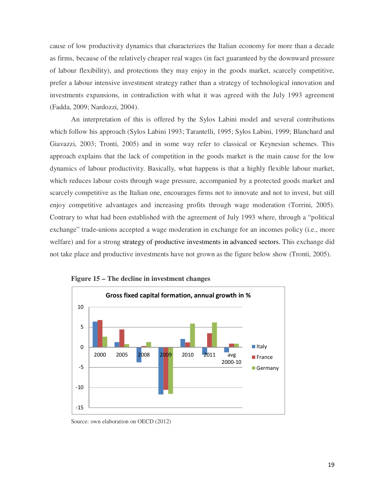cause of low productivity dynamics that characterizes the Italian economy for more than a decade as firms, because of the relatively cheaper real wages (in fact guaranteed by the downward pressure of labour flexibility), and protections they may enjoy in the goods market, scarcely competitive, prefer a labour intensive investment strategy rather than a strategy of technological innovation and investments expansions, in contradiction with what it was agreed with the July 1993 agreement (Fadda, 2009; Nardozzi, 2004).

An interpretation of this is offered by the Sylos Labini model and several contributions which follow his approach (Sylos Labini 1993; Tarantelli, 1995; Sylos Labini, 1999; Blanchard and Giavazzi, 2003; Tronti, 2005) and in some way refer to classical or Keynesian schemes. This approach explains that the lack of competition in the goods market is the main cause for the low dynamics of labour productivity. Basically, what happens is that a highly flexible labour market, which reduces labour costs through wage pressure, accompanied by a protected goods market and scarcely competitive as the Italian one, encourages firms not to innovate and not to invest, but still enjoy competitive advantages and increasing profits through wage moderation (Torrini, 2005). Contrary to what had been established with the agreement of July 1993 where, through a "political exchange" trade-unions accepted a wage moderation in exchange for an incomes policy (i.e., more welfare) and for a strong strategy of productive investments in advanced sectors. This exchange did not take place and productive investments have not grown as the figure below show (Tronti, 2005).





Source: own elaboration on OECD (2012)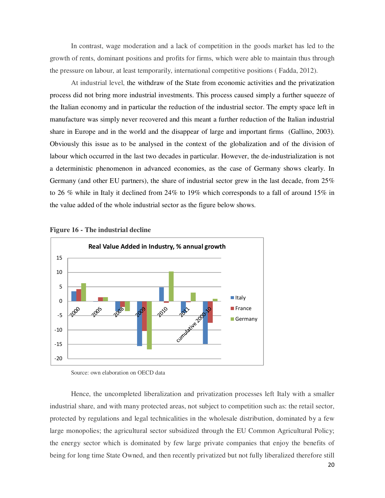In contrast, wage moderation and a lack of competition in the goods market has led to the growth of rents, dominant positions and profits for firms, which were able to maintain thus through the pressure on labour, at least temporarily, international competitive positions ( Fadda, 2012).

At industrial level, the withdraw of the State from economic activities and the privatization process did not bring more industrial investments. This process caused simply a further squeeze of the Italian economy and in particular the reduction of the industrial sector. The empty space left in manufacture was simply never recovered and this meant a further reduction of the Italian industrial share in Europe and in the world and the disappear of large and important firms (Gallino, 2003). Obviously this issue as to be analysed in the context of the globalization and of the division of labour which occurred in the last two decades in particular. However, the de-industrialization is not a deterministic phenomenon in advanced economies, as the case of Germany shows clearly. In Germany (and other EU partners), the share of industrial sector grew in the last decade, from 25% to 26 % while in Italy it declined from 24% to 19% which corresponds to a fall of around 15% in the value added of the whole industrial sector as the figure below shows.





Hence, the uncompleted liberalization and privatization processes left Italy with a smaller industrial share, and with many protected areas, not subject to competition such as: the retail sector, protected by regulations and legal technicalities in the wholesale distribution, dominated by a few large monopolies; the agricultural sector subsidized through the EU Common Agricultural Policy; the energy sector which is dominated by few large private companies that enjoy the benefits of being for long time State Owned, and then recently privatized but not fully liberalized therefore still

Source: own elaboration on OECD data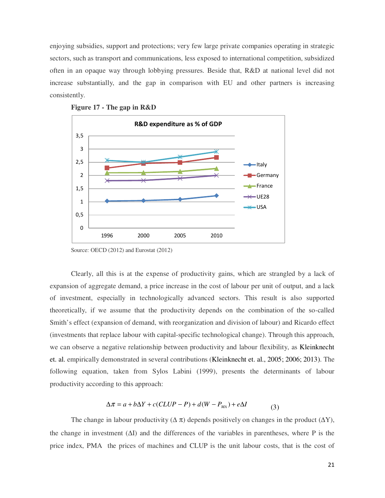enjoying subsidies, support and protections; very few large private companies operating in strategic sectors, such as transport and communications, less exposed to international competition, subsidized often in an opaque way through lobbying pressures. Beside that, R&D at national level did not increase substantially, and the gap in comparison with EU and other partners is increasing consistently.



**Figure 17 - The gap in R&D** 

Source: OECD (2012) and Eurostat (2012)

Clearly, all this is at the expense of productivity gains, which are strangled by a lack of expansion of aggregate demand, a price increase in the cost of labour per unit of output, and a lack of investment, especially in technologically advanced sectors. This result is also supported theoretically, if we assume that the productivity depends on the combination of the so-called Smith's effect (expansion of demand, with reorganization and division of labour) and Ricardo effect (investments that replace labour with capital-specific technological change). Through this approach, we can observe a negative relationship between productivity and labour flexibility, as Kleinknecht et. al. empirically demonstrated in several contributions (Kleinknecht et. al., 2005; 2006; 2013). The following equation, taken from Sylos Labini (1999), presents the determinants of labour productivity according to this approach:

$$
\Delta \pi = a + b\Delta Y + c(CLUP - P) + d(W - P_{MA}) + e\Delta I
$$
\n(3)

The change in labour productivity ( $\Delta \pi$ ) depends positively on changes in the product ( $\Delta Y$ ), the change in investment  $(\Delta I)$  and the differences of the variables in parentheses, where P is the price index, PMA the prices of machines and CLUP is the unit labour costs, that is the cost of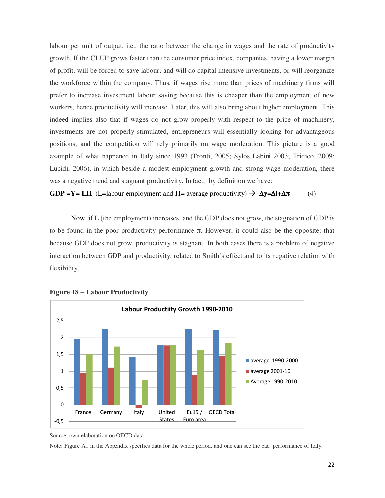labour per unit of output, i.e., the ratio between the change in wages and the rate of productivity growth. If the CLUP grows faster than the consumer price index, companies, having a lower margin of profit, will be forced to save labour, and will do capital intensive investments, or will reorganize the workforce within the company. Thus, if wages rise more than prices of machinery firms will prefer to increase investment labour saving because this is cheaper than the employment of new workers, hence productivity will increase. Later, this will also bring about higher employment. This indeed implies also that if wages do not grow properly with respect to the price of machinery, investments are not properly stimulated, entrepreneurs will essentially looking for advantageous positions, and the competition will rely primarily on wage moderation. This picture is a good example of what happened in Italy since 1993 (Tronti, 2005; Sylos Labini 2003; Tridico, 2009; Lucidi, 2006), in which beside a modest employment growth and strong wage moderation, there was a negative trend and stagnant productivity. In fact, by definition we have:

**GDP =Y= LΠ** (L=labour employment and  $\Pi$ = average productivity)  $\rightarrow \Delta y = \Delta l + \Delta \pi$  (4)

Now, if L (the employment) increases, and the GDP does not grow, the stagnation of GDP is to be found in the poor productivity performance  $\pi$ . However, it could also be the opposite: that because GDP does not grow, productivity is stagnant. In both cases there is a problem of negative interaction between GDP and productivity, related to Smith's effect and to its negative relation with flexibility.



#### **Figure 18 – Labour Productivity**

Note: Figure A1 in the Appendix specifies data for the whole period, and one can see the bad performance of Italy.

Source: own elaboration on OECD data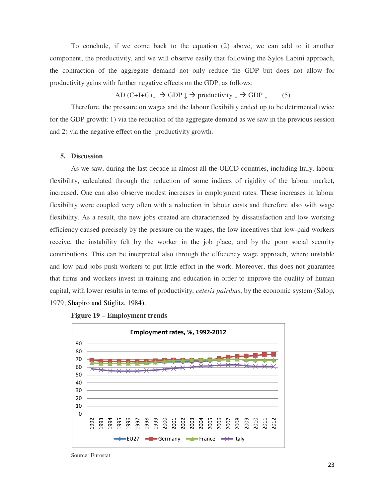To conclude, if we come back to the equation (2) above, we can add to it another component, the productivity, and we will observe easily that following the Sylos Labini approach, the contraction of the aggregate demand not only reduce the GDP but does not allow for productivity gains with further negative effects on the GDP, as follows:

AD  $(C+I+G)$   $\downarrow \rightarrow$  GDP  $\downarrow \rightarrow$  productivity  $\downarrow \rightarrow$  GDP  $\downarrow$  (5)

Therefore, the pressure on wages and the labour flexibility ended up to be detrimental twice for the GDP growth: 1) via the reduction of the aggregate demand as we saw in the previous session and 2) via the negative effect on the productivity growth.

#### **5. Discussion**

As we saw, during the last decade in almost all the OECD countries, including Italy, labour flexibility, calculated through the reduction of some indices of rigidity of the labour market, increased. One can also observe modest increases in employment rates. These increases in labour flexibility were coupled very often with a reduction in labour costs and therefore also with wage flexibility. As a result, the new jobs created are characterized by dissatisfaction and low working efficiency caused precisely by the pressure on the wages, the low incentives that low-paid workers receive, the instability felt by the worker in the job place, and by the poor social security contributions. This can be interpreted also through the efficiency wage approach, where unstable and low paid jobs push workers to put little effort in the work. Moreover, this does not guarantee that firms and workers invest in training and education in order to improve the quality of human capital, with lower results in terms of productivity, *ceteris pairibus*, by the economic system (Salop, 1979; Shapiro and Stiglitz, 1984).





Source: Eurostat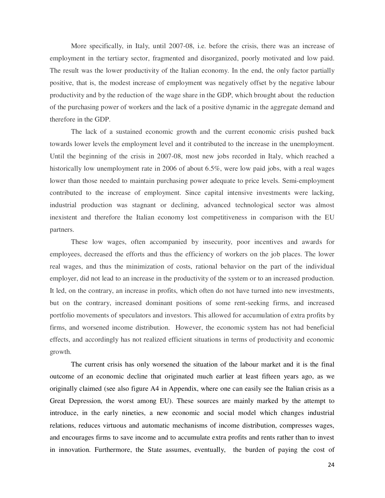More specifically, in Italy, until 2007-08, i.e. before the crisis, there was an increase of employment in the tertiary sector, fragmented and disorganized, poorly motivated and low paid. The result was the lower productivity of the Italian economy. In the end, the only factor partially positive, that is, the modest increase of employment was negatively offset by the negative labour productivity and by the reduction of the wage share in the GDP, which brought about the reduction of the purchasing power of workers and the lack of a positive dynamic in the aggregate demand and therefore in the GDP.

The lack of a sustained economic growth and the current economic crisis pushed back towards lower levels the employment level and it contributed to the increase in the unemployment. Until the beginning of the crisis in 2007-08, most new jobs recorded in Italy, which reached a historically low unemployment rate in 2006 of about 6.5%, were low paid jobs, with a real wages lower than those needed to maintain purchasing power adequate to price levels. Semi-employment contributed to the increase of employment. Since capital intensive investments were lacking, industrial production was stagnant or declining, advanced technological sector was almost inexistent and therefore the Italian economy lost competitiveness in comparison with the EU partners.

These low wages, often accompanied by insecurity, poor incentives and awards for employees, decreased the efforts and thus the efficiency of workers on the job places. The lower real wages, and thus the minimization of costs, rational behavior on the part of the individual employer, did not lead to an increase in the productivity of the system or to an increased production. It led, on the contrary, an increase in profits, which often do not have turned into new investments, but on the contrary, increased dominant positions of some rent-seeking firms, and increased portfolio movements of speculators and investors. This allowed for accumulation of extra profits by firms, and worsened income distribution. However, the economic system has not had beneficial effects, and accordingly has not realized efficient situations in terms of productivity and economic growth.

The current crisis has only worsened the situation of the labour market and it is the final outcome of an economic decline that originated much earlier at least fifteen years ago, as we originally claimed (see also figure A4 in Appendix, where one can easily see the Italian crisis as a Great Depression, the worst among EU). These sources are mainly marked by the attempt to introduce, in the early nineties, a new economic and social model which changes industrial relations, reduces virtuous and automatic mechanisms of income distribution, compresses wages, and encourages firms to save income and to accumulate extra profits and rents rather than to invest in innovation. Furthermore, the State assumes, eventually, the burden of paying the cost of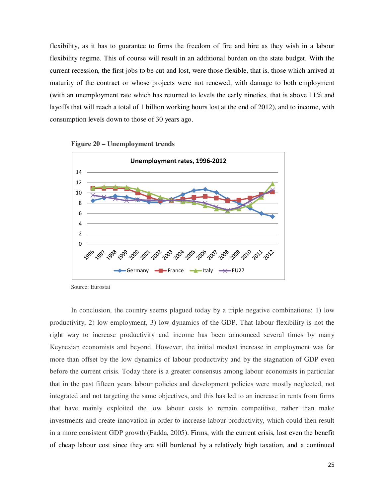flexibility, as it has to guarantee to firms the freedom of fire and hire as they wish in a labour flexibility regime. This of course will result in an additional burden on the state budget. With the current recession, the first jobs to be cut and lost, were those flexible, that is, those which arrived at maturity of the contract or whose projects were not renewed, with damage to both employment (with an unemployment rate which has returned to levels the early nineties, that is above 11% and layoffs that will reach a total of 1 billion working hours lost at the end of 2012), and to income, with consumption levels down to those of 30 years ago.



**Figure 20 – Unemployment trends** 



Source: Eurostat

In conclusion, the country seems plagued today by a triple negative combinations: 1) low productivity, 2) low employment, 3) low dynamics of the GDP. That labour flexibility is not the right way to increase productivity and income has been announced several times by many Keynesian economists and beyond. However, the initial modest increase in employment was far more than offset by the low dynamics of labour productivity and by the stagnation of GDP even before the current crisis. Today there is a greater consensus among labour economists in particular that in the past fifteen years labour policies and development policies were mostly neglected, not integrated and not targeting the same objectives, and this has led to an increase in rents from firms that have mainly exploited the low labour costs to remain competitive, rather than make investments and create innovation in order to increase labour productivity, which could then result in a more consistent GDP growth (Fadda, 2005). Firms, with the current crisis, lost even the benefit of cheap labour cost since they are still burdened by a relatively high taxation, and a continued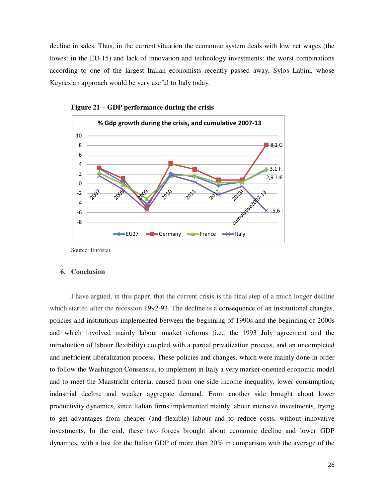decline in sales. Thus, in the current situation the economic system deals with low net wages (the lowest in the EU-15) and lack of innovation and technology investments: the worst combinations according to one of the largest Italian economists recently passed away, Sylos Labini, whose Keynesian approach would be very useful to Italy today.





#### **6. Conclusion**

I have argued, in this paper, that the current crisis is the final step of a much longer decline which started after the recession 1992-93. The decline is a consequence of an institutional changes, policies and institutions implemented between the beginning of 1990s and the beginning of 2000s and which involved mainly labour market reforms (i.e., the 1993 July agreement and the introduction of labour flexibility) coupled with a partial privatization process, and an uncompleted and inefficient liberalization process. These policies and changes, which were mainly done in order to follow the Washington Consensus, to implement in Italy a very market-oriented economic model and to meet the Maastricht criteria, caused from one side income inequality, lower consumption, industrial decline and weaker aggregate demand. From another side brought about lower productivity dynamics, since Italian firms implemented mainly labour intensive investments, trying to get advantages from cheaper (and flexible) labour and to reduce costs, without innovative investments. In the end, these two forces brought about economic decline and lower GDP dynamics, with a lost for the Italian GDP of more than 20% in comparison with the average of the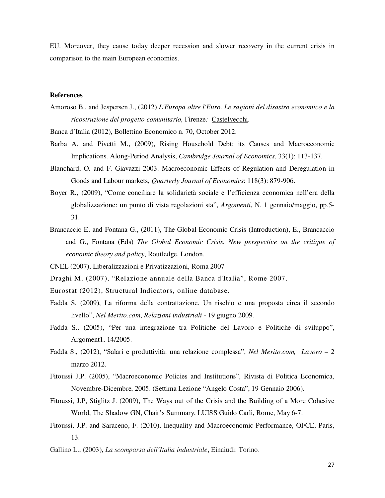EU. Moreover, they cause today deeper recession and slower recovery in the current crisis in comparison to the main European economies.

#### **References**

Amoroso B., and Jespersen J., (2012) *L'Europa oltre l'Euro. Le ragioni del disastro economico e la ricostruzione del progetto comunitario,* Firenze*:* Castelvecchi.

Banca d'Italia (2012), Bollettino Economico n. 70, October 2012.

- Barba A. and Pivetti M., (2009), Rising Household Debt: its Causes and Macroeconomic Implications. Along-Period Analysis, *Cambridge Journal of Economics*, 33(1): 113-137.
- Blanchard, O. and F. Giavazzi 2003. Macroeconomic Effects of Regulation and Deregulation in Goods and Labour markets, *Quarterly Journal of Economics*: 118(3): 879-906.
- Boyer R., (2009), "Come conciliare la solidarietà sociale e l'efficienza economica nell'era della globalizzazione: un punto di vista regolazioni sta", *Argomenti*, N. 1 gennaio/maggio, pp.5- 31.
- Brancaccio E. and Fontana G., (2011), The Global Economic Crisis (Introduction), E., Brancaccio and G., Fontana (Eds) *The Global Economic Crisis. New perspective on the critique of economic theory and policy*, Routledge, London.

CNEL (2007), Liberalizzazioni e Privatizzazioni, Roma 2007

Draghi M. (2007), "Relazione annuale della Banca d'Italia", Rome 2007.

- Eurostat (2012), Structural Indicators, online database.
- Fadda S. (2009), La riforma della contrattazione. Un rischio e una proposta circa il secondo livello", *Nel Merito.com*, *Relazioni industriali* - 19 giugno 2009.
- Fadda S., (2005), "Per una integrazione tra Politiche del Lavoro e Politiche di sviluppo", Argoment1, 14/2005.
- Fadda S., (2012), "Salari e produttività: una relazione complessa", *Nel Merito.com, Lavoro* 2 marzo 2012.
- Fitoussi J.P. (2005), "Macroeconomic Policies and Institutions", Rivista di Politica Economica, Novembre-Dicembre, 2005. (Settima Lezione "Angelo Costa", 19 Gennaio 2006).
- Fitoussi, J.P, Stiglitz J. (2009), The Ways out of the Crisis and the Building of a More Cohesive World, The Shadow GN, Chair's Summary, LUISS Guido Carli, Rome, May 6-7.
- Fitoussi, J.P. and Saraceno, F. (2010), Inequality and Macroeconomic Performance, OFCE, Paris, 13.

Gallino L., (2003), *La scomparsa dell'Italia industriale***,** Einaiudi: Torino.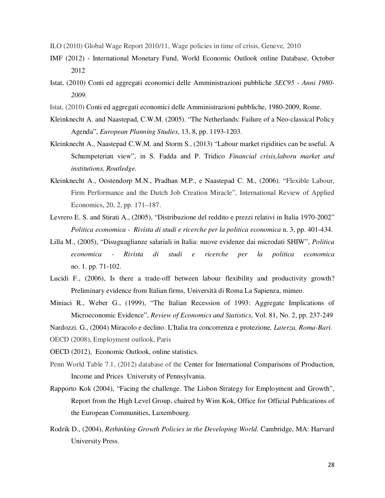- ILO (2010) Global Wage Report 2010/11, Wage policies in time of crisis, Geneve, 2010
- IMF (2012) International Monetary Fund, World Economic Outlook online Database, October 2012
- Istat, (2010) Conti ed aggregati economici delle Amministrazioni pubbliche *SEC95 Anni 1980- 2009.*
- Istat, (2010) Conti ed aggregati economici delle Amministrazioni pubbliche, 1980-2009, Rome.
- Kleinknecht A. and Naastepad, C.W.M. (2005). "The Netherlands: Failure of a Neo-classical Policy Agenda", *European Planning Studies*, 13, 8, pp. 1193-1203.
- Kleinknecht A., Naastepad C.W.M. and Storm S., (2013) "Labour market rigidities can be useful. A Schumpeterian view", in S. Fadda and P. Tridico *Financial crisis,laboru market and institutions, Routledge.*
- Kleinknecht A., Oostendorp M.N., Pradhan M.P., e Naastepad C. M., (2006). "Flexible Labour, Firm Performance and the Dutch Job Creation Miracle", International Review of Applied Economics, 20, 2, pp. 171–187.
- Levrero E. S. and Stirati A., (2005), "Distribuzione del reddito e prezzi relativi in Italia 1970-2002" *Politica economica - Rivista di studi e ricerche per la politica economica* n. 3, pp. 401-434.
- Lilla M., (2005), "Disuguaglianze salariali in Italia: nuove evidenze dai microdati SHIW", *Politica economica - Rivista di studi e ricerche per la politica economica* no. 1. pp. 71-102.
- Lucidi F., (2006), Is there a trade-off between labour flexibility and productivity growth? Preliminary evidence from Italian firms, Università di Roma La Sapienza, mimeo.
- Miniaci R., Weber G., (1999), "The Italian Recession of 1993: Aggregate Implications of Microeconomic Evidence", *Review of Economics and Statistics*, Vol. 81, No. 2, pp. 237-249
- Nardozzi. G., (2004) Miracolo e declino. L'Italia tra concorrenza e protezione*, Laterza, Roma-Bari.*
- OECD (2008), Employment outlook, Paris
- OECD (2012), Economic Outlook, online statistics.
- Penn World Table 7.1, (2012) database of the Center for International Comparisons of Production, Income and Prices University of Pennsylvania.
- Rapporto Kok (2004), "Facing the challenge. The Lisbon Strategy for Employment and Growth", Report from the High Level Group, chaired by Wim Kok, Office for Official Publications of the European Communities, Luxembourg.
- Rodrik D., (2004), *Rethinking Growth Policies in the Developing World*. Cambridge, MA: Harvard University Press.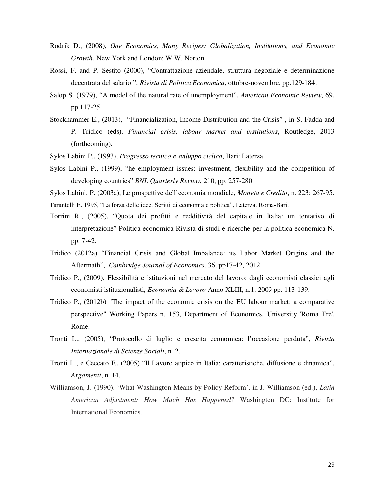- Rodrik D., (2008), *One Economics, Many Recipes: Globalization, Institutions, and Economic Growth*, New York and London: W.W. Norton
- Rossi, F. and P. Sestito (2000), "Contrattazione aziendale, struttura negoziale e determinazione decentrata del salario ", *Rivista di Politica Economica*, ottobre-novembre, pp.129-184.
- Salop S. (1979), "A model of the natural rate of unemployment", *American Economic Review*, 69, pp.117-25.
- Stockhammer E., (2013), "Financialization, Income Distribution and the Crisis" , in S. Fadda and P. Tridico (eds), *Financial crisis, labour market and institutions*, Routledge, 2013 (forthcoming)**.**
- Sylos Labini P., (1993), *Progresso tecnico e sviluppo ciclico*, Bari: Laterza.
- Sylos Labini P., (1999), "he employment issues: investment, flexibility and the competition of developing countries" *BNL Quarterly Review*, 210, pp. 257-280
- Sylos Labini, P. (2003a), Le prospettive dell'economia mondiale, *Moneta e Credito*, n. 223: 267-95.
- Tarantelli E. 1995, "La forza delle idee. Scritti di economia e politica", Laterza, Roma-Bari.
- Torrini R., (2005), "Quota dei profitti e redditività del capitale in Italia: un tentativo di interpretazione" Politica economica Rivista di studi e ricerche per la politica economica N. pp. 7-42.
- Tridico (2012a) "Financial Crisis and Global Imbalance: its Labor Market Origins and the Aftermath", *Cambridge Journal of Economics*. 36, pp17-42, 2012.
- Tridico P., (2009), Flessibilità e istituzioni nel mercato del lavoro: dagli economisti classici agli economisti istituzionalisti, *Economia & Lavoro* Anno XLIII, n.1. 2009 pp. 113-139.
- Tridico P., (2012b) "The impact of the economic crisis on the EU labour market: a comparative perspective" Working Papers n. 153, Department of Economics, University 'Roma Tre', Rome.
- Tronti L., (2005), "Protocollo di luglio e crescita economica: l'occasione perduta", *Rivista Internazionale di Scienze Sociali*, n. 2.
- Tronti L., e Ceccato F., (2005) "Il Lavoro atipico in Italia: caratteristiche, diffusione e dinamica", *Argomenti*, n. 14.
- Williamson, J. (1990). 'What Washington Means by Policy Reform', in J. Williamson (ed.), *Latin American Adjustment: How Much Has Happened?* Washington DC: Institute for International Economics.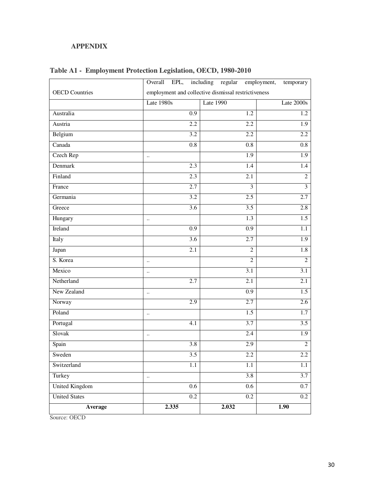## **APPENDIX**

|                       |                                                     | Overall EPL, including regular employment, | temporary               |
|-----------------------|-----------------------------------------------------|--------------------------------------------|-------------------------|
| <b>OECD</b> Countries | employment and collective dismissal restrictiveness |                                            |                         |
|                       | Late 1980s                                          | Late 1990                                  | Late 2000s              |
| Australia             | $\overline{0.9}$                                    | 1.2                                        | 1.2                     |
| Austria               | $\overline{2.2}$                                    | 2.2                                        | $\overline{1.9}$        |
| Belgium               | $\overline{3.2}$                                    | 2.2                                        | 2.2                     |
| Canada                | 0.8                                                 | 0.8                                        | 0.8                     |
| Czech Rep             | $\ldots$                                            | 1.9                                        | 1.9                     |
| Denmark               | 2.3                                                 | 1.4                                        | 1.4                     |
| Finland               | 2.3                                                 | 2.1                                        | $\overline{2}$          |
| France                | 2.7                                                 | 3                                          | $\overline{\mathbf{3}}$ |
| Germania              | $\overline{3.2}$                                    | 2.5                                        | 2.7                     |
| Greece                | $\overline{3.6}$                                    | 3.5                                        | 2.8                     |
| Hungary               | $\ddotsc$                                           | $\overline{1.3}$                           | $\overline{1.5}$        |
| Ireland               | $\overline{0.9}$                                    | $\overline{0.9}$                           | $\overline{1.1}$        |
| Italy                 | 3.6                                                 | 2.7                                        | 1.9                     |
| Japan                 | 2.1                                                 | $\overline{c}$                             | 1.8                     |
| S. Korea              | $\ldots$                                            | $\overline{2}$                             | $\overline{2}$          |
| Mexico                | $\ddot{\phantom{a}}$                                | 3.1                                        | 3.1                     |
| Netherland            | 2.7                                                 | 2.1                                        | 2.1                     |
| New Zealand           | $\ddotsc$                                           | 0.9                                        | 1.5                     |
| Norway                | 2.9                                                 | 2.7                                        | 2.6                     |
| Poland                | $\ddotsc$                                           | $\overline{1.5}$                           | $\overline{1.7}$        |
| Portugal              | 4.1                                                 | 3.7                                        | $\overline{3.5}$        |
| Slovak                | $\ddotsc$                                           | 2.4                                        | 1.9                     |
| Spain                 | 3.8                                                 | 2.9                                        | $\overline{2}$          |
| Sweden                | $\overline{3.5}$                                    | 2.2                                        | 2.2                     |
| Switzerland           | 1.1                                                 | 1.1                                        | 1.1                     |
| Turkey                | $\ldots$                                            | 3.8                                        | 3.7                     |
| <b>United Kingdom</b> | $0.6\,$                                             | $0.6\,$                                    | $0.7\,$                 |
| <b>United States</b>  | 0.2                                                 | 0.2                                        | $0.2\,$                 |
| Average               | 2.335                                               | 2.032                                      | 1.90                    |

**Table A1 - Employment Protection Legislation, OECD, 1980-2010** 

Source: OECD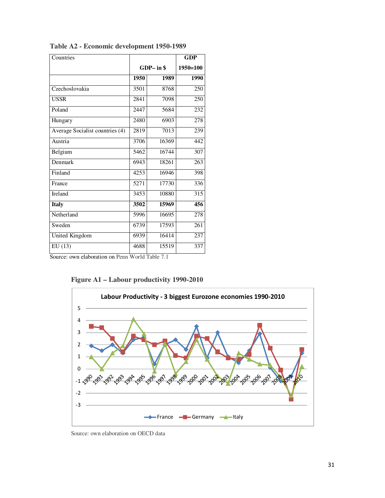| Countries                       |              |       | <b>GDP</b>       |
|---------------------------------|--------------|-------|------------------|
|                                 | $GDP - in $$ |       | $1950 = 100$     |
|                                 | 1950         | 1989  | 1990             |
| Czechoslovakia                  | 3501         | 8768  | 250              |
| <b>USSR</b>                     | 2841         | 7098  | 250              |
| Poland                          | 2447         | 5684  | 232              |
| Hungary                         | 2480         | 6903  | 278              |
| Average Socialist countries (4) | 2819         | 7013  | 239              |
| Austria                         | 3706         | 16369 | 442              |
| Belgium                         | 5462         | 16744 | 307              |
| Denmark                         | 6943         | 18261 | 263              |
| Finland                         | 4253         | 16946 | 398              |
| France                          | 5271         | 17730 | 336              |
| Ireland                         | 3453         | 10880 | 315              |
| <b>Italy</b>                    | 3502         | 15969 | $\overline{456}$ |
| Netherland                      | 5996         | 16695 | 278              |
| Sweden                          | 6739         | 17593 | $\overline{261}$ |
| <b>United Kingdom</b>           | 6939         | 16414 | 237              |
| EU(13)                          | 4688         | 15519 | 337              |

**Table A2 - Economic development 1950-1989** 

Source: own elaboration on Penn World Table 7.1





Source: own elaboration on OECD data